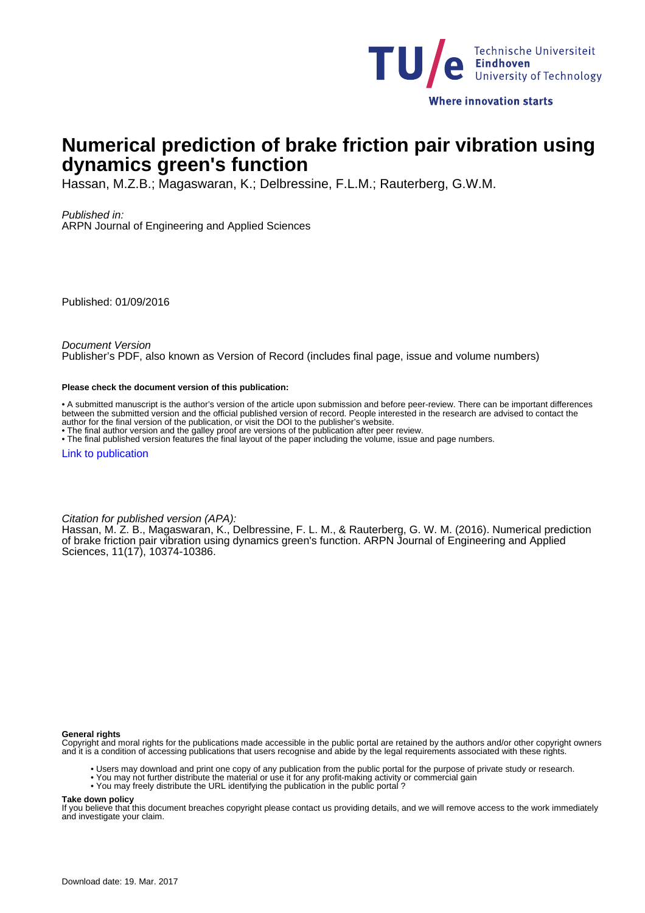

# **Numerical prediction of brake friction pair vibration using dynamics green's function**

Hassan, M.Z.B.; Magaswaran, K.; Delbressine, F.L.M.; Rauterberg, G.W.M.

Published in:

ARPN Journal of Engineering and Applied Sciences

Published: 01/09/2016

Document Version

Publisher's PDF, also known as Version of Record (includes final page, issue and volume numbers)

#### **Please check the document version of this publication:**

• A submitted manuscript is the author's version of the article upon submission and before peer-review. There can be important differences between the submitted version and the official published version of record. People interested in the research are advised to contact the author for the final version of the publication, or visit the DOI to the publisher's website.

• The final author version and the galley proof are versions of the publication after peer review.

• The final published version features the final layout of the paper including the volume, issue and page numbers.

[Link to publication](https://pure.tue.nl/en/publications/numerical-prediction-of-brake-friction-pair-vibration-using-dynamics-greens-function(b94fceb5-671f-4361-8acd-a614b5593357).html)

Citation for published version (APA):

Hassan, M. Z. B., Magaswaran, K., Delbressine, F. L. M., & Rauterberg, G. W. M. (2016). Numerical prediction of brake friction pair vibration using dynamics green's function. ARPN Journal of Engineering and Applied Sciences, 11(17), 10374-10386.

**General rights**

Copyright and moral rights for the publications made accessible in the public portal are retained by the authors and/or other copyright owners and it is a condition of accessing publications that users recognise and abide by the legal requirements associated with these rights.

- Users may download and print one copy of any publication from the public portal for the purpose of private study or research.
- You may not further distribute the material or use it for any profit-making activity or commercial gain
	- You may freely distribute the URL identifying the publication in the public portal ?

#### **Take down policy**

If you believe that this document breaches copyright please contact us providing details, and we will remove access to the work immediately and investigate your claim.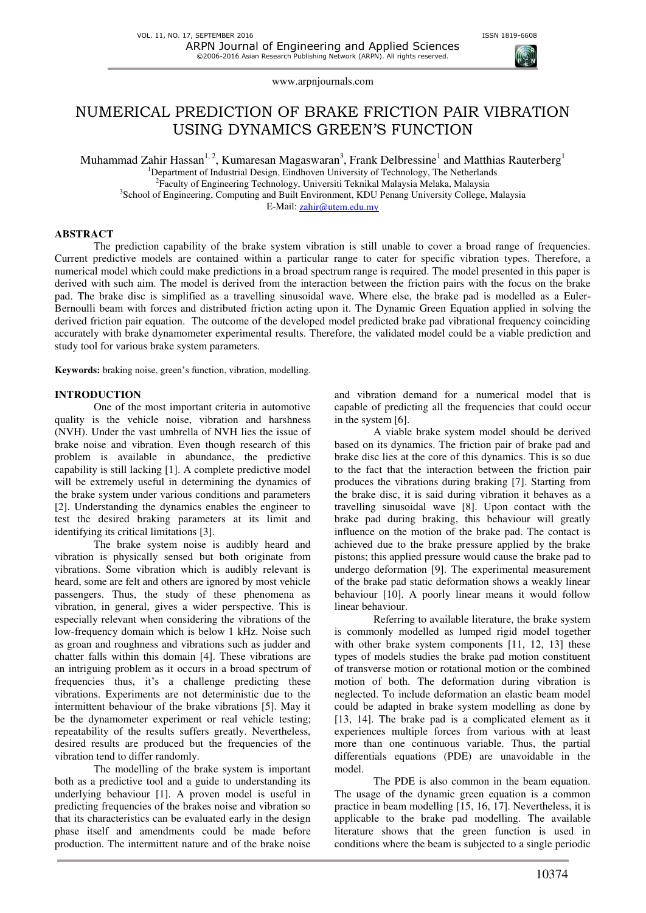

## NUMERICAL PREDICTION OF BRAKE FRICTION PAIR VIBRATION USING DYNAMICS GREEN'S FUNCTION

Muhammad Zahir Hassan $^{1, 2}$ , Kumaresan Magaswaran $^{3}$ , Frank Delbressine $^{1}$  and Matthias Rauterberg $^{1}$ <sup>1</sup>Department of Industrial Design, Eindhoven University of Technology, The Netherlands <sup>2</sup>Faculty of Engineering Technology, Universiti Teknikal Malaysia Melaka, Malaysia <sup>3</sup>School of Engineering, Computing and Built Environment, KDU Penang University College, Malaysia E-Mail: zahir@utem.edu.my

**ABSTRACT** 

The prediction capability of the brake system vibration is still unable to cover a broad range of frequencies. Current predictive models are contained within a particular range to cater for specific vibration types. Therefore, a numerical model which could make predictions in a broad spectrum range is required. The model presented in this paper is derived with such aim. The model is derived from the interaction between the friction pairs with the focus on the brake pad. The brake disc is simplified as a travelling sinusoidal wave. Where else, the brake pad is modelled as a Euler-Bernoulli beam with forces and distributed friction acting upon it. The Dynamic Green Equation applied in solving the derived friction pair equation. The outcome of the developed model predicted brake pad vibrational frequency coinciding accurately with brake dynamometer experimental results. Therefore, the validated model could be a viable prediction and study tool for various brake system parameters.

**Keywords:** braking noise, green's function, vibration, modelling.

#### **INTRODUCTION**

One of the most important criteria in automotive quality is the vehicle noise, vibration and harshness (NVH). Under the vast umbrella of NVH lies the issue of brake noise and vibration. Even though research of this problem is available in abundance, the predictive capability is still lacking [1]. A complete predictive model will be extremely useful in determining the dynamics of the brake system under various conditions and parameters [2]. Understanding the dynamics enables the engineer to test the desired braking parameters at its limit and identifying its critical limitations [3].

The brake system noise is audibly heard and vibration is physically sensed but both originate from vibrations. Some vibration which is audibly relevant is heard, some are felt and others are ignored by most vehicle passengers. Thus, the study of these phenomena as vibration, in general, gives a wider perspective. This is especially relevant when considering the vibrations of the low-frequency domain which is below 1 kHz. Noise such as groan and roughness and vibrations such as judder and chatter falls within this domain [4]. These vibrations are an intriguing problem as it occurs in a broad spectrum of frequencies thus, it's a challenge predicting these vibrations. Experiments are not deterministic due to the intermittent behaviour of the brake vibrations [5]. May it be the dynamometer experiment or real vehicle testing; repeatability of the results suffers greatly. Nevertheless, desired results are produced but the frequencies of the vibration tend to differ randomly.

The modelling of the brake system is important both as a predictive tool and a guide to understanding its underlying behaviour [1]. A proven model is useful in predicting frequencies of the brakes noise and vibration so that its characteristics can be evaluated early in the design phase itself and amendments could be made before production. The intermittent nature and of the brake noise and vibration demand for a numerical model that is capable of predicting all the frequencies that could occur in the system [6].

A viable brake system model should be derived based on its dynamics. The friction pair of brake pad and brake disc lies at the core of this dynamics. This is so due to the fact that the interaction between the friction pair produces the vibrations during braking [7]. Starting from the brake disc, it is said during vibration it behaves as a travelling sinusoidal wave [8]. Upon contact with the brake pad during braking, this behaviour will greatly influence on the motion of the brake pad. The contact is achieved due to the brake pressure applied by the brake pistons; this applied pressure would cause the brake pad to undergo deformation [9]. The experimental measurement of the brake pad static deformation shows a weakly linear behaviour [10]. A poorly linear means it would follow linear behaviour.

Referring to available literature, the brake system is commonly modelled as lumped rigid model together with other brake system components [11, 12, 13] these types of models studies the brake pad motion constituent of transverse motion or rotational motion or the combined motion of both. The deformation during vibration is neglected. To include deformation an elastic beam model could be adapted in brake system modelling as done by [13, 14]. The brake pad is a complicated element as it experiences multiple forces from various with at least more than one continuous variable. Thus, the partial differentials equations (PDE) are unavoidable in the model.

The PDE is also common in the beam equation. The usage of the dynamic green equation is a common practice in beam modelling [15, 16, 17]. Nevertheless, it is applicable to the brake pad modelling. The available literature shows that the green function is used in conditions where the beam is subjected to a single periodic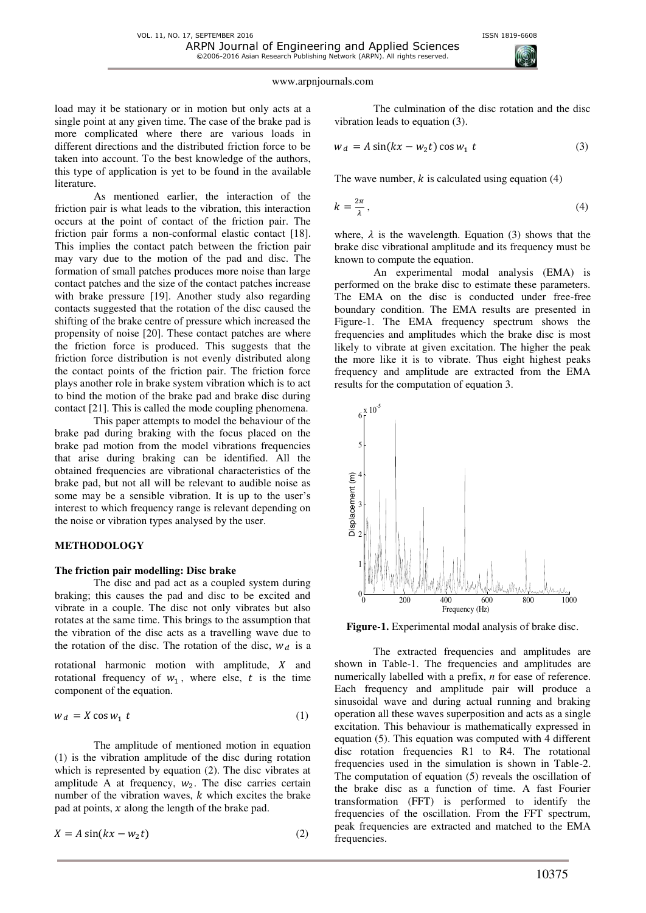

load may it be stationary or in motion but only acts at a single point at any given time. The case of the brake pad is more complicated where there are various loads in different directions and the distributed friction force to be taken into account. To the best knowledge of the authors, this type of application is yet to be found in the available literature.

As mentioned earlier, the interaction of the friction pair is what leads to the vibration, this interaction occurs at the point of contact of the friction pair. The friction pair forms a non-conformal elastic contact [18]. This implies the contact patch between the friction pair may vary due to the motion of the pad and disc. The formation of small patches produces more noise than large contact patches and the size of the contact patches increase with brake pressure [19]. Another study also regarding contacts suggested that the rotation of the disc caused the shifting of the brake centre of pressure which increased the propensity of noise [20]. These contact patches are where the friction force is produced. This suggests that the friction force distribution is not evenly distributed along the contact points of the friction pair. The friction force plays another role in brake system vibration which is to act to bind the motion of the brake pad and brake disc during contact [21]. This is called the mode coupling phenomena.

This paper attempts to model the behaviour of the brake pad during braking with the focus placed on the brake pad motion from the model vibrations frequencies that arise during braking can be identified. All the obtained frequencies are vibrational characteristics of the brake pad, but not all will be relevant to audible noise as some may be a sensible vibration. It is up to the user's interest to which frequency range is relevant depending on the noise or vibration types analysed by the user.

#### **METHODOLOGY**

#### **The friction pair modelling: Disc brake**

The disc and pad act as a coupled system during braking; this causes the pad and disc to be excited and vibrate in a couple. The disc not only vibrates but also rotates at the same time. This brings to the assumption that the vibration of the disc acts as a travelling wave due to the rotation of the disc. The rotation of the disc,  $w_d$  is a

rotational harmonic motion with amplitude,  $X$  and rotational frequency of  $w_1$ , where else, t is the time component of the equation.

$$
w_d = X \cos w_1 \ t \tag{1}
$$

The amplitude of mentioned motion in equation (1) is the vibration amplitude of the disc during rotation which is represented by equation (2). The disc vibrates at amplitude A at frequency,  $w_2$ . The disc carries certain number of the vibration waves,  $k$  which excites the brake pad at points,  $x$  along the length of the brake pad.

$$
X = A \sin(kx - w_2 t) \tag{2}
$$

The culmination of the disc rotation and the disc vibration leads to equation (3).

$$
w_d = A \sin(kx - w_2 t) \cos w_1 t \tag{3}
$$

The wave number,  $k$  is calculated using equation (4)

$$
k = \frac{2\pi}{\lambda},\tag{4}
$$

where,  $\lambda$  is the wavelength. Equation (3) shows that the brake disc vibrational amplitude and its frequency must be known to compute the equation.

An experimental modal analysis (EMA) is performed on the brake disc to estimate these parameters. The EMA on the disc is conducted under free-free boundary condition. The EMA results are presented in Figure-1. The EMA frequency spectrum shows the frequencies and amplitudes which the brake disc is most likely to vibrate at given excitation. The higher the peak the more like it is to vibrate. Thus eight highest peaks frequency and amplitude are extracted from the EMA results for the computation of equation 3.



**Figure-1.** Experimental modal analysis of brake disc.

The extracted frequencies and amplitudes are shown in Table-1. The frequencies and amplitudes are numerically labelled with a prefix, *n* for ease of reference. Each frequency and amplitude pair will produce a sinusoidal wave and during actual running and braking operation all these waves superposition and acts as a single excitation. This behaviour is mathematically expressed in equation (5). This equation was computed with 4 different disc rotation frequencies R1 to R4. The rotational frequencies used in the simulation is shown in Table-2. The computation of equation (5) reveals the oscillation of the brake disc as a function of time. A fast Fourier transformation (FFT) is performed to identify the frequencies of the oscillation. From the FFT spectrum, peak frequencies are extracted and matched to the EMA frequencies.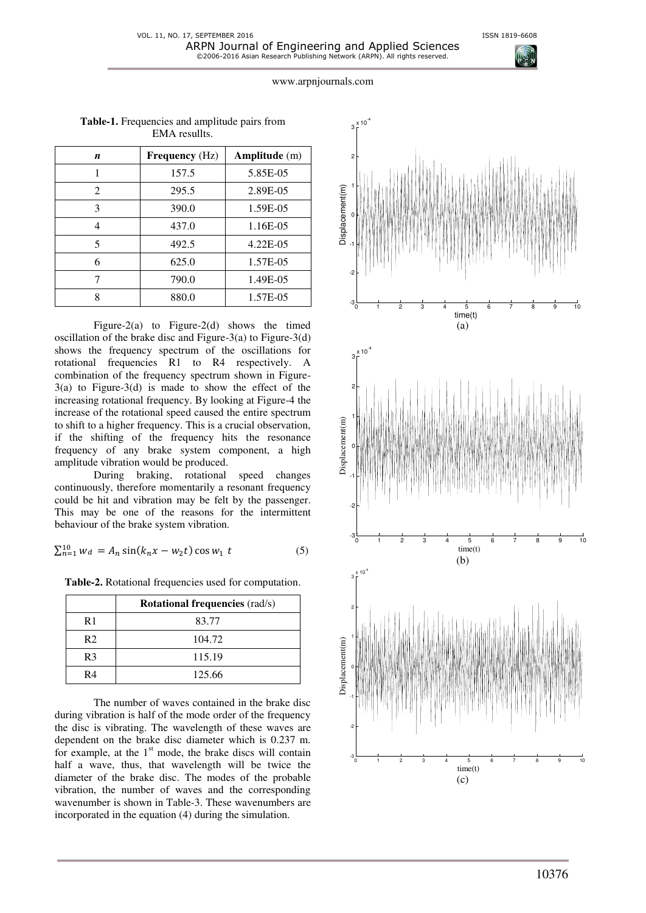| n | <b>Frequency</b> (Hz) | Amplitude (m) |
|---|-----------------------|---------------|
| 1 | 157.5                 | 5.85E-05      |
| 2 | 295.5                 | 2.89E-05      |
| 3 | 390.0                 | 1.59E-05      |
| 4 | 437.0                 | 1.16E-05      |
| 5 | 492.5                 | 4.22E-05      |
| 6 | 625.0                 | 1.57E-05      |
| 7 | 790.0                 | 1.49E-05      |
| 8 | 880.0                 | 1.57E-05      |

**Table-1.** Frequencies and amplitude pairs from EMA resullts.

Figure-2(a) to Figure-2(d) shows the timed oscillation of the brake disc and Figure-3(a) to Figure-3(d) shows the frequency spectrum of the oscillations for rotational frequencies R1 to R4 respectively. A combination of the frequency spectrum shown in Figure- $3(a)$  to Figure-3(d) is made to show the effect of the increasing rotational frequency. By looking at Figure-4 the increase of the rotational speed caused the entire spectrum to shift to a higher frequency. This is a crucial observation, if the shifting of the frequency hits the resonance frequency of any brake system component, a high amplitude vibration would be produced.

During braking, rotational speed changes continuously, therefore momentarily a resonant frequency could be hit and vibration may be felt by the passenger. This may be one of the reasons for the intermittent behaviour of the brake system vibration.

$$
\sum_{n=1}^{10} w_d = A_n \sin(k_n x - w_2 t) \cos w_1 t \tag{5}
$$

**Table-2.** Rotational frequencies used for computation.

|                | <b>Rotational frequencies (rad/s)</b> |
|----------------|---------------------------------------|
| R <sub>1</sub> | 83.77                                 |
| R <sub>2</sub> | 104.72                                |
| R <sub>3</sub> | 115.19                                |
| R4             | 125.66                                |

The number of waves contained in the brake disc during vibration is half of the mode order of the frequency the disc is vibrating. The wavelength of these waves are dependent on the brake disc diameter which is 0.237 m. for example, at the  $1<sup>st</sup>$  mode, the brake discs will contain half a wave, thus, that wavelength will be twice the diameter of the brake disc. The modes of the probable vibration, the number of waves and the corresponding wavenumber is shown in Table-3. These wavenumbers are incorporated in the equation (4) during the simulation.

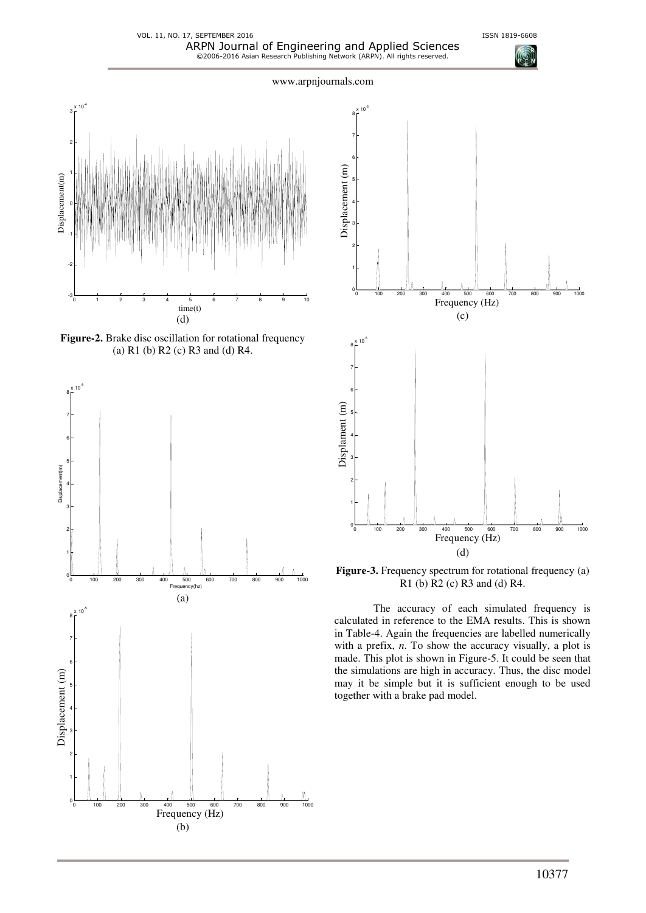VOL. 11, NO. 17, SEPTEMBER 2016 **ISSN 1819-6608** ARPN Journal of Engineering and Applied Sciences ©2006-2016 Asian Research Publishing Network (ARPN). All rights reserved.



**Figure-2.** Brake disc oscillation for rotational frequency (a) R1 (b) R2 (c) R3 and (d) R4.





**Figure-3.** Frequency spectrum for rotational frequency (a) R1 (b) R2 (c) R3 and (d) R4.

The accuracy of each simulated frequency is calculated in reference to the EMA results. This is shown in Table-4. Again the frequencies are labelled numerically with a prefix, *n*. To show the accuracy visually, a plot is made. This plot is shown in Figure-5. It could be seen that the simulations are high in accuracy. Thus, the disc model may it be simple but it is sufficient enough to be used together with a brake pad model.

10377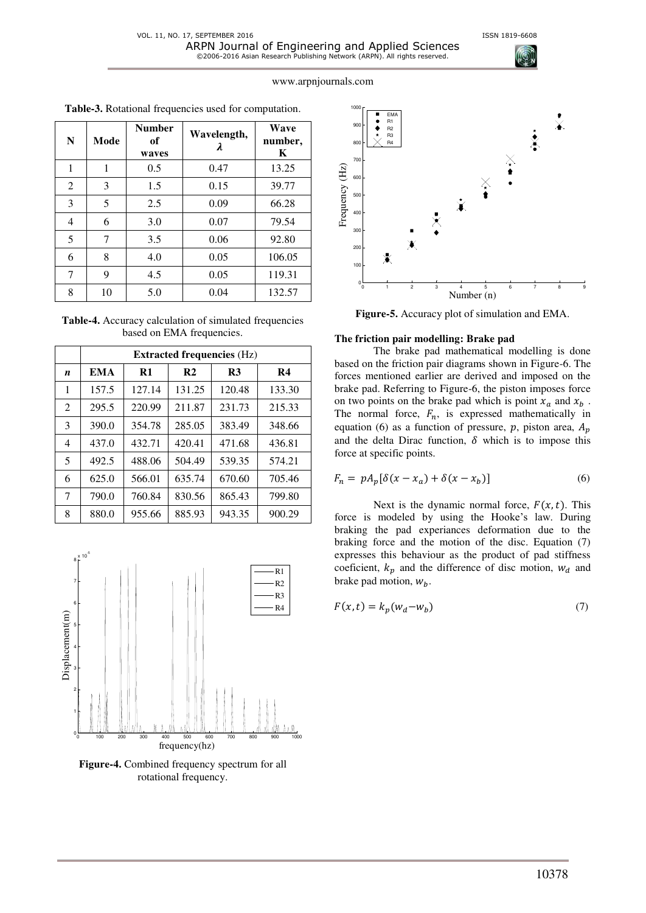| N              | Mode | <b>Number</b><br>of<br>waves | Wavelength,<br>λ | Wave<br>number,<br>K |
|----------------|------|------------------------------|------------------|----------------------|
| 1              | 1    | 0.5                          | 0.47             | 13.25                |
| $\overline{2}$ | 3    | 1.5                          | 0.15             | 39.77                |
| 3              | 5    | 2.5                          | 0.09             | 66.28                |
| 4              | 6    | 3.0                          | 0.07             | 79.54                |
| 5              | 7    | 3.5                          | 0.06             | 92.80                |
| 6              | 8    | 4.0                          | 0.05             | 106.05               |
| 7              | 9    | 4.5                          | 0.05             | 119.31               |
| 8              | 10   | 5.0                          | 0.04             | 132.57               |

**Table-3.** Rotational frequencies used for computation.

| <b>Table-4.</b> Accuracy calculation of simulated frequencies |
|---------------------------------------------------------------|
| based on EMA frequencies.                                     |

|   | <b>Extracted frequencies (Hz)</b> |               |                |                |                |
|---|-----------------------------------|---------------|----------------|----------------|----------------|
| n | <b>EMA</b>                        | $\mathbf{R}1$ | R <sub>2</sub> | R <sub>3</sub> | R <sub>4</sub> |
| 1 | 157.5                             | 127.14        | 131.25         | 120.48         | 133.30         |
| 2 | 295.5                             | 220.99        | 211.87         | 231.73         | 215.33         |
| 3 | 390.0                             | 354.78        | 285.05         | 383.49         | 348.66         |
| 4 | 437.0                             | 432.71        | 420.41         | 471.68         | 436.81         |
| 5 | 492.5                             | 488.06        | 504.49         | 539.35         | 574.21         |
| 6 | 625.0                             | 566.01        | 635.74         | 670.60         | 705.46         |
| 7 | 790.0                             | 760.84        | 830.56         | 865.43         | 799.80         |
| 8 | 880.0                             | 955.66        | 885.93         | 943.35         | 900.29         |



**Figure-4.** Combined frequency spectrum for all rotational frequency.



**Figure-5.** Accuracy plot of simulation and EMA.

#### **The friction pair modelling: Brake pad**

The brake pad mathematical modelling is done based on the friction pair diagrams shown in Figure-6. The forces mentioned earlier are derived and imposed on the brake pad. Referring to Figure-6, the piston imposes force on two points on the brake pad which is point  $x_a$  and  $x_b$ . The normal force,  $F_n$ , is expressed mathematically in equation (6) as a function of pressure, p, piston area,  $A_p$ and the delta Dirac function,  $\delta$  which is to impose this force at specific points.

$$
F_n = pA_p[\delta(x - x_a) + \delta(x - x_b)]
$$
\n(6)

Next is the dynamic normal force,  $F(x, t)$ . This force is modeled by using the Hooke's law. During braking the pad experiances deformation due to the braking force and the motion of the disc. Equation (7) expresses this behaviour as the product of pad stiffness coeficient,  $k_p$  and the difference of disc motion,  $w_d$  and brake pad motion,  $W_h$ .

$$
F(x,t) = k_p(w_d - w_b)
$$
\n<sup>(7)</sup>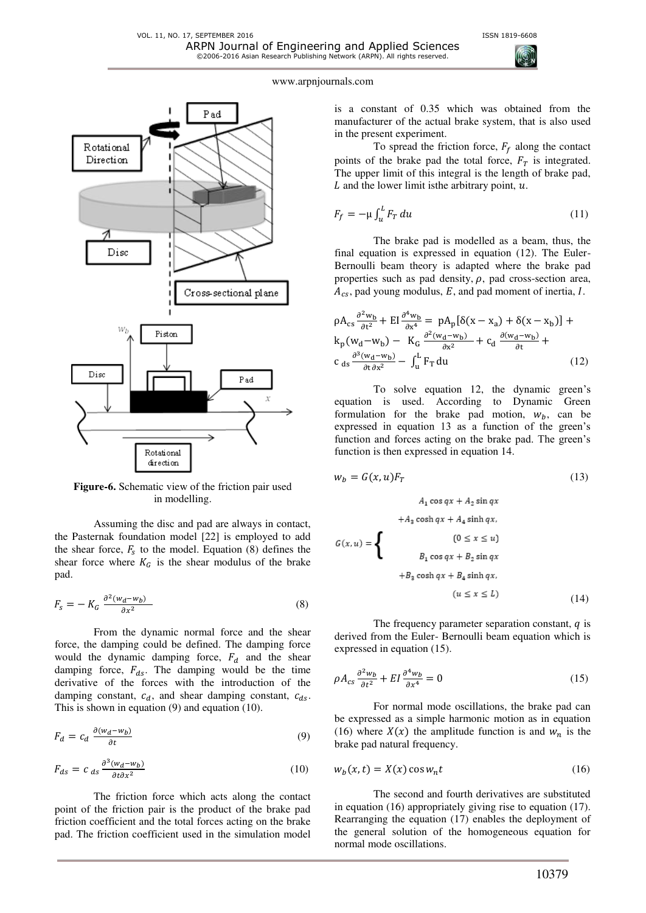

**Figure-6.** Schematic view of the friction pair used in modelling.

Assuming the disc and pad are always in contact, the Pasternak foundation model [22] is employed to add the shear force,  $F_s$  to the model. Equation (8) defines the shear force where  $K_G$  is the shear modulus of the brake pad.

$$
F_s = -K_G \frac{\partial^2 (w_d - w_b)}{\partial x^2} \tag{8}
$$

From the dynamic normal force and the shear force, the damping could be defined. The damping force would the dynamic damping force,  $F_d$  and the shear damping force,  $F_{ds}$ . The damping would be the time derivative of the forces with the introduction of the damping constant,  $c_d$ , and shear damping constant,  $c_{ds}$ . This is shown in equation (9) and equation (10).

$$
F_d = c_d \frac{\partial (w_d - w_b)}{\partial t} \tag{9}
$$

$$
F_{ds} = c_{ds} \frac{\partial^3 (w_d - w_b)}{\partial t \partial x^2}
$$
 (10)

The friction force which acts along the contact point of the friction pair is the product of the brake pad friction coefficient and the total forces acting on the brake pad. The friction coefficient used in the simulation model



#### www.arpnjournals.com

is a constant of 0.35 which was obtained from the manufacturer of the actual brake system, that is also used in the present experiment.

To spread the friction force,  $F_f$  along the contact points of the brake pad the total force,  $F<sub>T</sub>$  is integrated. The upper limit of this integral is the length of brake pad,  $L$  and the lower limit is the arbitrary point,  $u$ .

$$
F_f = -\mu \int_u^L F_T \, du \tag{11}
$$

The brake pad is modelled as a beam, thus, the final equation is expressed in equation (12). The Euler-Bernoulli beam theory is adapted where the brake pad properties such as pad density,  $\rho$ , pad cross-section area,  $A_{cs}$ , pad young modulus, E, and pad moment of inertia, I.

$$
\rho A_{cs} \frac{\partial^2 w_b}{\partial t^2} + \text{EI} \frac{\partial^4 w_b}{\partial x^4} = p A_p [\delta(x - x_a) + \delta(x - x_b)] +
$$
  
\n
$$
k_p (w_d - w_b) - K_G \frac{\partial^2 (w_d - w_b)}{\partial x^2} + c_d \frac{\partial (w_d - w_b)}{\partial t} +
$$
  
\n
$$
c_{ds} \frac{\partial^3 (w_d - w_b)}{\partial t \partial x^2} - \int_u^L F_T du
$$
 (12)

To solve equation 12, the dynamic green's equation is used. According to Dynamic Green formulation for the brake pad motion,  $w_b$ , can be expressed in equation 13 as a function of the green's function and forces acting on the brake pad. The green's function is then expressed in equation 14.

$$
w_b = G(x, u)F_T
$$
\n
$$
A_1 \cos qx + A_2 \sin qx
$$
\n
$$
+ A_3 \cosh qx + A_4 \sinh qx
$$
\n
$$
G(x, u) = \begin{cases} \n(0 \le x \le u) \\ \nB_1 \cos qx + B_2 \sin qx \\ \n+ B_3 \cosh qx + B_4 \sinh qx \n\end{cases}
$$
\n(13)

$$
(u \le x \le L) \tag{14}
$$

The frequency parameter separation constant,  $q$  is derived from the Euler- Bernoulli beam equation which is expressed in equation (15).

$$
\rho A_{cs} \frac{\partial^2 w_b}{\partial t^2} + EI \frac{\partial^4 w_b}{\partial x^4} = 0 \tag{15}
$$

For normal mode oscillations, the brake pad can be expressed as a simple harmonic motion as in equation (16) where  $X(x)$  the amplitude function is and  $w_n$  is the brake pad natural frequency.

$$
w_b(x,t) = X(x)\cos w_n t\tag{16}
$$

The second and fourth derivatives are substituted in equation (16) appropriately giving rise to equation (17). Rearranging the equation (17) enables the deployment of the general solution of the homogeneous equation for normal mode oscillations.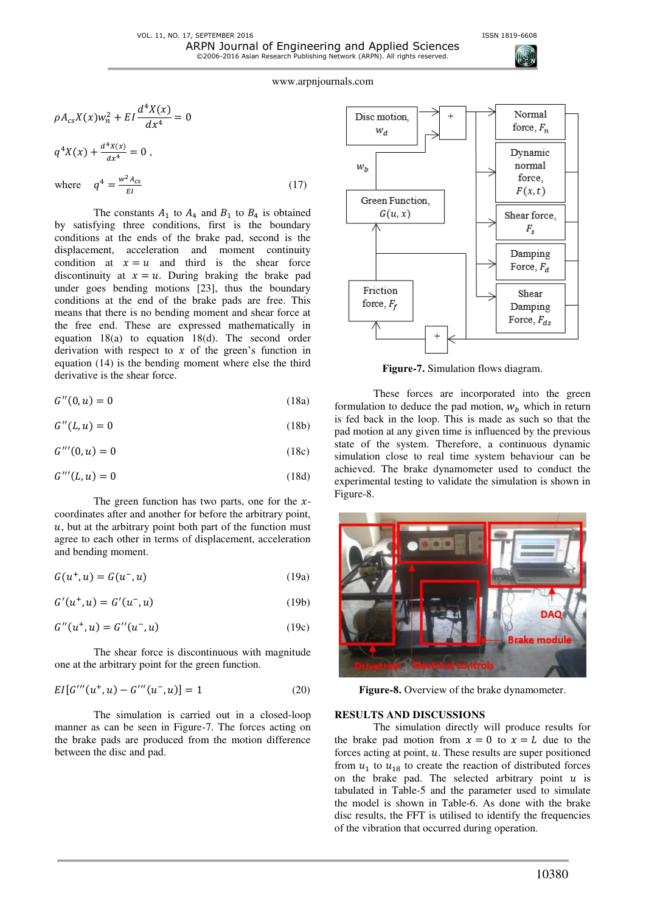

$$
\rho A_{cs} X(x) w_n^2 + EI \frac{d^4 X(x)}{dx^4} = 0
$$
  

$$
q^4 X(x) + \frac{d^4 x(x)}{dx^4} = 0,
$$
  
where 
$$
q^4 = \frac{w^2 A_{cs}}{EI}
$$
 (17)

The constants  $A_1$  to  $A_4$  and  $B_1$  to  $B_4$  is obtained by satisfying three conditions, first is the boundary conditions at the ends of the brake pad, second is the displacement, acceleration and moment continuity condition at  $x = u$  and third is the shear force discontinuity at  $x = u$ . During braking the brake pad under goes bending motions [23], thus the boundary conditions at the end of the brake pads are free. This means that there is no bending moment and shear force at the free end. These are expressed mathematically in equation 18(a) to equation 18(d). The second order derivation with respect to  $x$  of the green's function in equation (14) is the bending moment where else the third derivative is the shear force.

$$
G''(0, u) = 0 \tag{18a}
$$

$$
G''(L, u) = 0 \tag{18b}
$$

$$
G^{\prime\prime\prime}(0,u) = 0\tag{18c}
$$

$$
G^{\prime\prime\prime}(L,u) = 0\tag{18d}
$$

The green function has two parts, one for the  $x$ coordinates after and another for before the arbitrary point,  $u$ , but at the arbitrary point both part of the function must agree to each other in terms of displacement, acceleration and bending moment.

$$
G(u^+, u) = G(u^-, u)
$$
 (19a)

$$
G'(u^+, u) = G'(u^-, u)
$$
 (19b)

$$
G''(u^+, u) = G''(u^-, u)
$$
 (19c)

The shear force is discontinuous with magnitude one at the arbitrary point for the green function.

$$
EI[G'''(u^+, u) - G'''(u^-, u)] = 1
$$
\n(20)

The simulation is carried out in a closed-loop manner as can be seen in Figure-7. The forces acting on the brake pads are produced from the motion difference between the disc and pad.



**Figure-7.** Simulation flows diagram.

These forces are incorporated into the green formulation to deduce the pad motion,  $W_h$  which in return is fed back in the loop. This is made as such so that the pad motion at any given time is influenced by the previous state of the system. Therefore, a continuous dynamic simulation close to real time system behaviour can be achieved. The brake dynamometer used to conduct the experimental testing to validate the simulation is shown in Figure-8.



**Figure-8.** Overview of the brake dynamometer.

#### **RESULTS AND DISCUSSIONS**

The simulation directly will produce results for the brake pad motion from  $x = 0$  to  $x = L$  due to the forces acting at point,  $u$ . These results are super positioned from  $u_1$  to  $u_{18}$  to create the reaction of distributed forces on the brake pad. The selected arbitrary point  $u$  is tabulated in Table-5 and the parameter used to simulate the model is shown in Table-6. As done with the brake disc results, the FFT is utilised to identify the frequencies of the vibration that occurred during operation.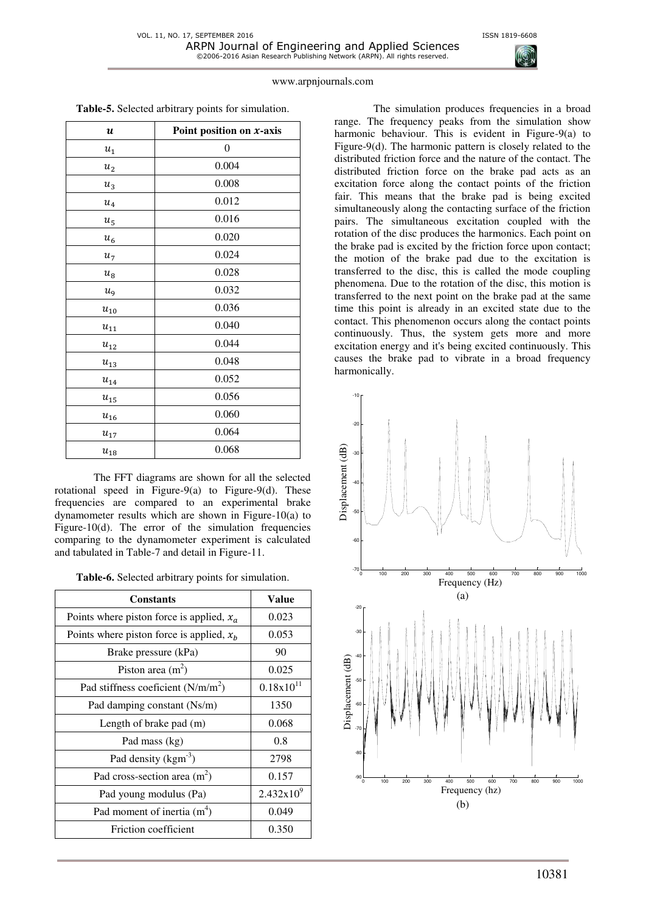

| $\boldsymbol{u}$      | Point position on $x$ -axis |
|-----------------------|-----------------------------|
| $u_1$                 | $\boldsymbol{0}$            |
| u <sub>2</sub>        | 0.004                       |
| $u_3$                 | 0.008                       |
| $\boldsymbol{u}_4$    | 0.012                       |
| $u_{\rm 5}$           | 0.016                       |
| $\boldsymbol{u}_6$    | 0.020                       |
| $u_7$                 | 0.024                       |
| $u_{\rm 8}$           | 0.028                       |
| $u_{9}$               | 0.032                       |
| $u_{\rm 10}$          | 0.036                       |
| $\boldsymbol{u}_{11}$ | 0.040                       |
| $\boldsymbol{u}_{12}$ | 0.044                       |
| $u_{13}$              | 0.048                       |
| $\boldsymbol{u}_{14}$ | 0.052                       |
| $u_{\rm 15}$          | 0.056                       |
| $u_{16}$              | 0.060                       |
| $u_{\rm 17}$          | 0.064                       |
| $u_{\rm 18}$          | 0.068                       |

The FFT diagrams are shown for all the selected rotational speed in Figure-9(a) to Figure-9(d). These frequencies are compared to an experimental brake dynamometer results which are shown in Figure-10(a) to Figure-10(d). The error of the simulation frequencies comparing to the dynamometer experiment is calculated and tabulated in Table-7 and detail in Figure-11.

| <b>Constants</b>                            | <b>Value</b>   |
|---------------------------------------------|----------------|
| Points where piston force is applied, $x_a$ | 0.023          |
| Points where piston force is applied, $x_h$ | 0.053          |
| Brake pressure (kPa)                        | 90             |
| Piston area $(m2)$                          | 0.025          |
| Pad stiffness coeficient $(N/m/m^2)$        | $0.18x10^{11}$ |
| Pad damping constant (Ns/m)                 | 1350           |
| Length of brake pad (m)                     | 0.068          |
| Pad mass (kg)                               | 0.8            |
| Pad density (kgm <sup>-3</sup> )            | 2798           |
| Pad cross-section area $(m2)$               | 0.157          |
| Pad young modulus (Pa)                      | $2.432x10^{9}$ |
| Pad moment of inertia $(m4)$                | 0.049          |
| Friction coefficient                        | 0.350          |

The simulation produces frequencies in a broad range. The frequency peaks from the simulation show harmonic behaviour. This is evident in Figure-9(a) to Figure-9(d). The harmonic pattern is closely related to the distributed friction force and the nature of the contact. The distributed friction force on the brake pad acts as an excitation force along the contact points of the friction fair. This means that the brake pad is being excited simultaneously along the contacting surface of the friction pairs. The simultaneous excitation coupled with the rotation of the disc produces the harmonics. Each point on the brake pad is excited by the friction force upon contact; the motion of the brake pad due to the excitation is transferred to the disc, this is called the mode coupling phenomena. Due to the rotation of the disc, this motion is transferred to the next point on the brake pad at the same time this point is already in an excited state due to the contact. This phenomenon occurs along the contact points continuously. Thus, the system gets more and more excitation energy and it's being excited continuously. This causes the brake pad to vibrate in a broad frequency harmonically.

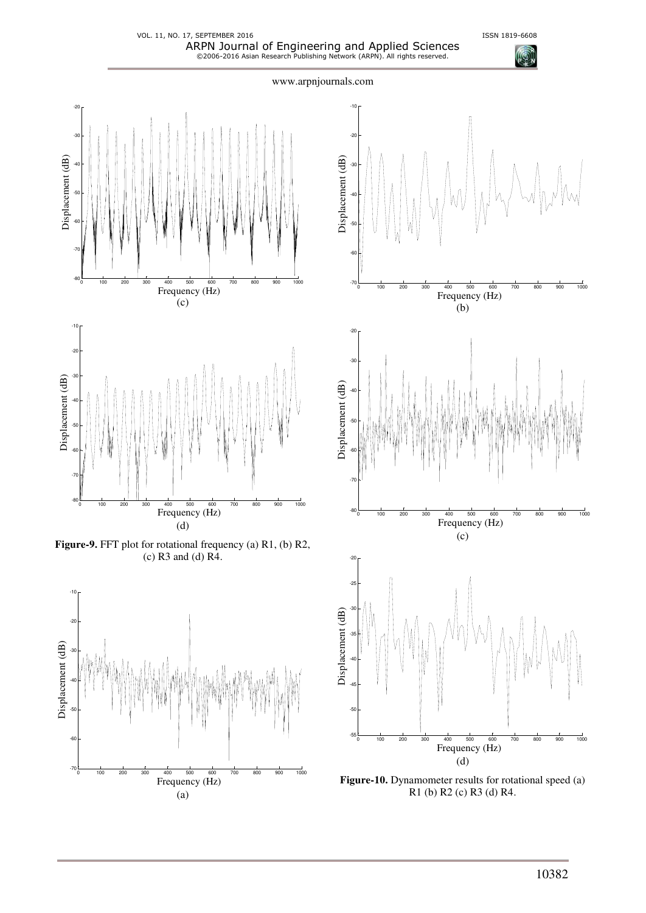$\sqrt{2}$ 

VOL. 11, NO. 17, SEPTEMBER 2016 **ISSN 1819-6608** ARPN Journal of Engineering and Applied Sciences ©2006-2016 Asian Research Publishing Network (ARPN). All rights reserved.



**Figure-9.** FFT plot for rotational frequency (a) R1, (b) R2, (c) R3 and (d) R4.

(d)





**Figure-10.** Dynamometer results for rotational speed (a) R1 (b) R2 (c) R3 (d) R4.

10382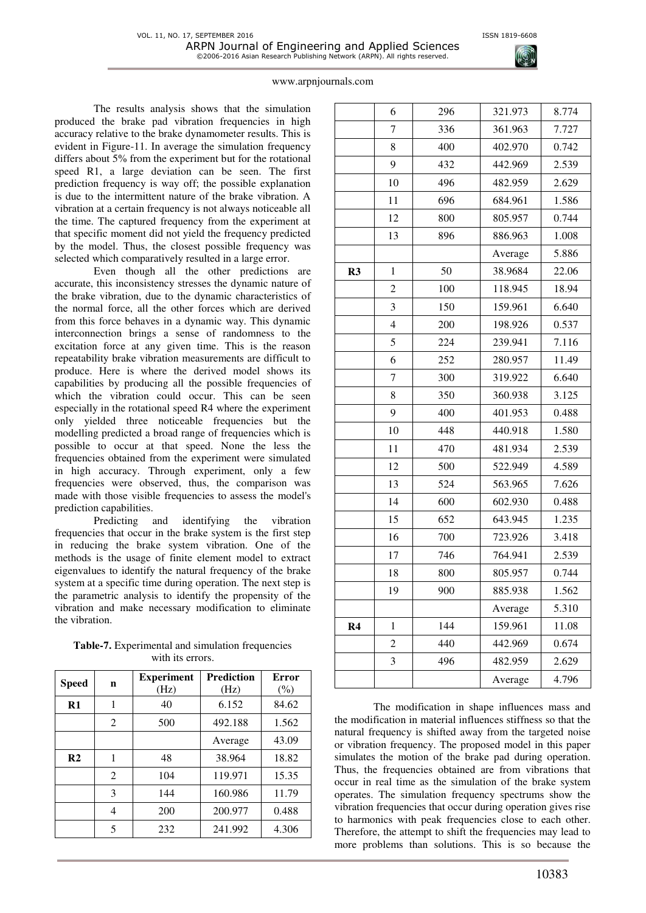

The results analysis shows that the simulation produced the brake pad vibration frequencies in high accuracy relative to the brake dynamometer results. This is evident in Figure-11. In average the simulation frequency differs about 5% from the experiment but for the rotational speed R1, a large deviation can be seen. The first prediction frequency is way off; the possible explanation is due to the intermittent nature of the brake vibration. A vibration at a certain frequency is not always noticeable all the time. The captured frequency from the experiment at that specific moment did not yield the frequency predicted by the model. Thus, the closest possible frequency was selected which comparatively resulted in a large error.

Even though all the other predictions are accurate, this inconsistency stresses the dynamic nature of the brake vibration, due to the dynamic characteristics of the normal force, all the other forces which are derived from this force behaves in a dynamic way. This dynamic interconnection brings a sense of randomness to the excitation force at any given time. This is the reason repeatability brake vibration measurements are difficult to produce. Here is where the derived model shows its capabilities by producing all the possible frequencies of which the vibration could occur. This can be seen especially in the rotational speed R4 where the experiment only yielded three noticeable frequencies but the modelling predicted a broad range of frequencies which is possible to occur at that speed. None the less the frequencies obtained from the experiment were simulated in high accuracy. Through experiment, only a few frequencies were observed, thus, the comparison was made with those visible frequencies to assess the model's prediction capabilities.

Predicting and identifying the vibration frequencies that occur in the brake system is the first step in reducing the brake system vibration. One of the methods is the usage of finite element model to extract eigenvalues to identify the natural frequency of the brake system at a specific time during operation. The next step is the parametric analysis to identify the propensity of the vibration and make necessary modification to eliminate the vibration.

**Table-7.** Experimental and simulation frequencies with its errors.

| <b>Speed</b>   | n              | <b>Experiment</b><br>(Hz) | <b>Prediction</b><br>(Hz) | <b>Error</b><br>$(\%)$ |
|----------------|----------------|---------------------------|---------------------------|------------------------|
| $\mathbf{R}1$  | 1              | 40                        | 6.152                     | 84.62                  |
|                | $\overline{2}$ | 500                       | 492.188                   | 1.562                  |
|                |                |                           | Average                   | 43.09                  |
| R <sub>2</sub> | 1              | 48                        | 38.964                    | 18.82                  |
|                | 2              | 104                       | 119.971                   | 15.35                  |
|                | 3              | 144                       | 160.986                   | 11.79                  |
|                | 4              | 200                       | 200.977                   | 0.488                  |
|                | 5              | 232                       | 241.992                   | 4.306                  |

|                | 6              | 296 | 321.973 | 8.774 |
|----------------|----------------|-----|---------|-------|
|                | 7              | 336 | 361.963 | 7.727 |
|                | 8              | 400 | 402.970 | 0.742 |
|                | 9              | 432 | 442.969 | 2.539 |
|                | 10             | 496 | 482.959 | 2.629 |
|                | 11             | 696 | 684.961 | 1.586 |
|                | 12             | 800 | 805.957 | 0.744 |
|                | 13             | 896 | 886.963 | 1.008 |
|                |                |     | Average | 5.886 |
| R3             | 1              | 50  | 38.9684 | 22.06 |
|                | $\overline{c}$ | 100 | 118.945 | 18.94 |
|                | 3              | 150 | 159.961 | 6.640 |
|                | $\overline{4}$ | 200 | 198.926 | 0.537 |
|                | 5              | 224 | 239.941 | 7.116 |
|                | 6              | 252 | 280.957 | 11.49 |
|                | 7              | 300 | 319.922 | 6.640 |
|                | 8              | 350 | 360.938 | 3.125 |
|                | 9              | 400 | 401.953 | 0.488 |
|                | 10             | 448 | 440.918 | 1.580 |
|                | 11             | 470 | 481.934 | 2.539 |
|                | 12             | 500 | 522.949 | 4.589 |
|                | 13             | 524 | 563.965 | 7.626 |
|                | 14             | 600 | 602.930 | 0.488 |
|                | 15             | 652 | 643.945 | 1.235 |
|                | 16             | 700 | 723.926 | 3.418 |
|                | 17             | 746 | 764.941 | 2.539 |
|                | 18             | 800 | 805.957 | 0.744 |
|                | 19             | 900 | 885.938 | 1.562 |
|                |                |     | Average | 5.310 |
| R <sub>4</sub> | $\mathbf{1}$   | 144 | 159.961 | 11.08 |
|                | $\overline{c}$ | 440 | 442.969 | 0.674 |
|                | 3              | 496 | 482.959 | 2.629 |
|                |                |     | Average | 4.796 |

The modification in shape influences mass and the modification in material influences stiffness so that the natural frequency is shifted away from the targeted noise or vibration frequency. The proposed model in this paper simulates the motion of the brake pad during operation. Thus, the frequencies obtained are from vibrations that occur in real time as the simulation of the brake system operates. The simulation frequency spectrums show the vibration frequencies that occur during operation gives rise to harmonics with peak frequencies close to each other. Therefore, the attempt to shift the frequencies may lead to more problems than solutions. This is so because the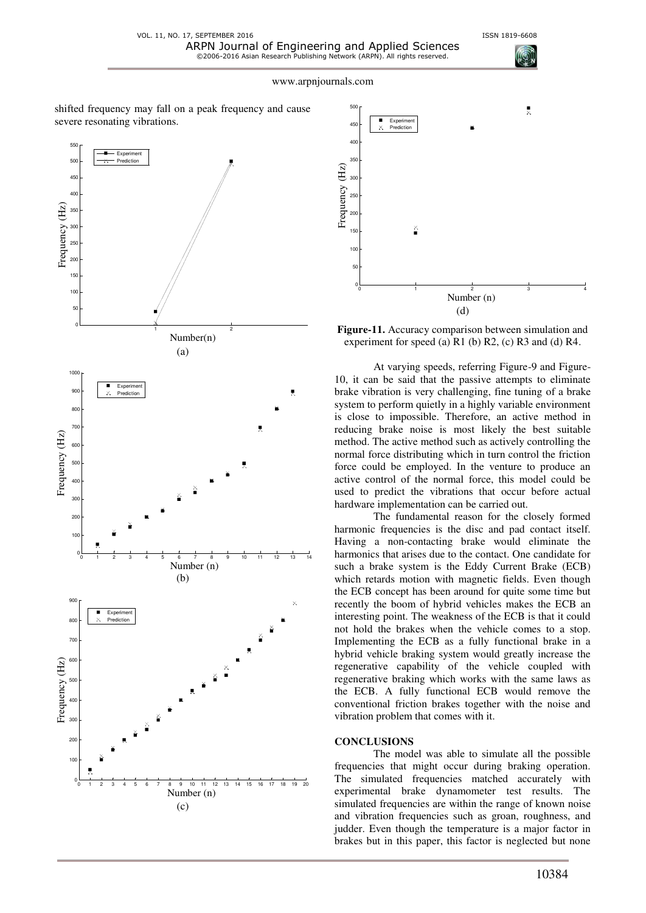shifted frequency may fall on a peak frequency and cause severe resonating vibrations.





**Figure-11.** Accuracy comparison between simulation and experiment for speed (a)  $R1$  (b)  $R2$ , (c)  $R3$  and (d)  $R4$ .

At varying speeds, referring Figure-9 and Figure-10, it can be said that the passive attempts to eliminate brake vibration is very challenging, fine tuning of a brake system to perform quietly in a highly variable environment is close to impossible. Therefore, an active method in reducing brake noise is most likely the best suitable method. The active method such as actively controlling the normal force distributing which in turn control the friction force could be employed. In the venture to produce an active control of the normal force, this model could be used to predict the vibrations that occur before actual hardware implementation can be carried out.

The fundamental reason for the closely formed harmonic frequencies is the disc and pad contact itself. Having a non-contacting brake would eliminate the harmonics that arises due to the contact. One candidate for such a brake system is the Eddy Current Brake (ECB) which retards motion with magnetic fields. Even though the ECB concept has been around for quite some time but recently the boom of hybrid vehicles makes the ECB an interesting point. The weakness of the ECB is that it could not hold the brakes when the vehicle comes to a stop. Implementing the ECB as a fully functional brake in a hybrid vehicle braking system would greatly increase the regenerative capability of the vehicle coupled with regenerative braking which works with the same laws as the ECB. A fully functional ECB would remove the conventional friction brakes together with the noise and vibration problem that comes with it.

#### **CONCLUSIONS**

The model was able to simulate all the possible frequencies that might occur during braking operation. The simulated frequencies matched accurately with experimental brake dynamometer test results. The simulated frequencies are within the range of known noise and vibration frequencies such as groan, roughness, and judder. Even though the temperature is a major factor in brakes but in this paper, this factor is neglected but none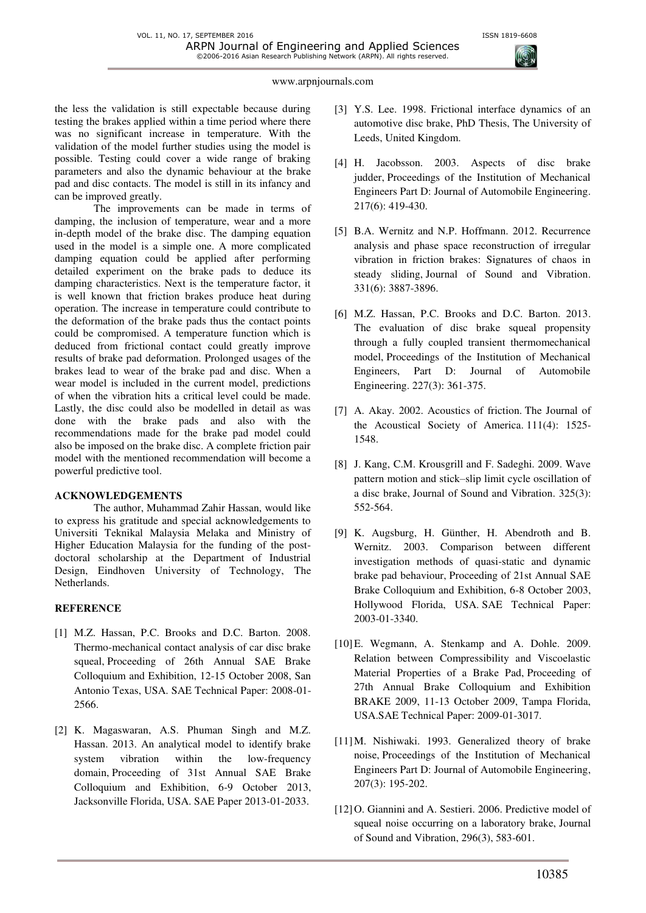

the less the validation is still expectable because during testing the brakes applied within a time period where there was no significant increase in temperature. With the validation of the model further studies using the model is possible. Testing could cover a wide range of braking parameters and also the dynamic behaviour at the brake pad and disc contacts. The model is still in its infancy and can be improved greatly.

The improvements can be made in terms of damping, the inclusion of temperature, wear and a more in-depth model of the brake disc. The damping equation used in the model is a simple one. A more complicated damping equation could be applied after performing detailed experiment on the brake pads to deduce its damping characteristics. Next is the temperature factor, it is well known that friction brakes produce heat during operation. The increase in temperature could contribute to the deformation of the brake pads thus the contact points could be compromised. A temperature function which is deduced from frictional contact could greatly improve results of brake pad deformation. Prolonged usages of the brakes lead to wear of the brake pad and disc. When a wear model is included in the current model, predictions of when the vibration hits a critical level could be made. Lastly, the disc could also be modelled in detail as was done with the brake pads and also with the recommendations made for the brake pad model could also be imposed on the brake disc. A complete friction pair model with the mentioned recommendation will become a powerful predictive tool.

### **ACKNOWLEDGEMENTS**

The author, Muhammad Zahir Hassan, would like to express his gratitude and special acknowledgements to Universiti Teknikal Malaysia Melaka and Ministry of Higher Education Malaysia for the funding of the postdoctoral scholarship at the Department of Industrial Design, Eindhoven University of Technology, The Netherlands.

### **REFERENCE**

- [1] M.Z. Hassan, P.C. Brooks and D.C. Barton. 2008. Thermo-mechanical contact analysis of car disc brake squeal, Proceeding of 26th Annual SAE Brake Colloquium and Exhibition, 12-15 October 2008, San Antonio Texas, USA. SAE Technical Paper: 2008-01- 2566.
- [2] K. Magaswaran, A.S. Phuman Singh and M.Z. Hassan. 2013. An analytical model to identify brake system vibration within the low-frequency domain, Proceeding of 31st Annual SAE Brake Colloquium and Exhibition, 6-9 October 2013, Jacksonville Florida, USA. SAE Paper 2013-01-2033.
- [3] Y.S. Lee. 1998. Frictional interface dynamics of an automotive disc brake, PhD Thesis, The University of Leeds, United Kingdom.
- [4] H. Jacobsson. 2003. Aspects of disc brake judder, Proceedings of the Institution of Mechanical Engineers Part D: Journal of Automobile Engineering. 217(6): 419-430.
- [5] B.A. Wernitz and N.P. Hoffmann. 2012. Recurrence analysis and phase space reconstruction of irregular vibration in friction brakes: Signatures of chaos in steady sliding, Journal of Sound and Vibration. 331(6): 3887-3896.
- [6] M.Z. Hassan, P.C. Brooks and D.C. Barton. 2013. The evaluation of disc brake squeal propensity through a fully coupled transient thermomechanical model, Proceedings of the Institution of Mechanical Engineers, Part D: Journal of Automobile Engineering. 227(3): 361-375.
- [7] A. Akay. 2002. Acoustics of friction. The Journal of the Acoustical Society of America. 111(4): 1525- 1548.
- [8] J. Kang, C.M. Krousgrill and F. Sadeghi. 2009. Wave pattern motion and stick–slip limit cycle oscillation of a disc brake, Journal of Sound and Vibration. 325(3): 552-564.
- [9] K. Augsburg, H. Günther, H. Abendroth and B. Wernitz. 2003. Comparison between different investigation methods of quasi-static and dynamic brake pad behaviour, Proceeding of 21st Annual SAE Brake Colloquium and Exhibition, 6-8 October 2003, Hollywood Florida, USA. SAE Technical Paper: 2003-01-3340.
- [10]E. Wegmann, A. Stenkamp and A. Dohle. 2009. Relation between Compressibility and Viscoelastic Material Properties of a Brake Pad, Proceeding of 27th Annual Brake Colloquium and Exhibition BRAKE 2009, 11-13 October 2009, Tampa Florida, USA.SAE Technical Paper: 2009-01-3017.
- [11]M. Nishiwaki. 1993. Generalized theory of brake noise, Proceedings of the Institution of Mechanical Engineers Part D: Journal of Automobile Engineering, 207(3): 195-202.
- [12]O. Giannini and A. Sestieri. 2006. Predictive model of squeal noise occurring on a laboratory brake, Journal of Sound and Vibration, 296(3), 583-601.